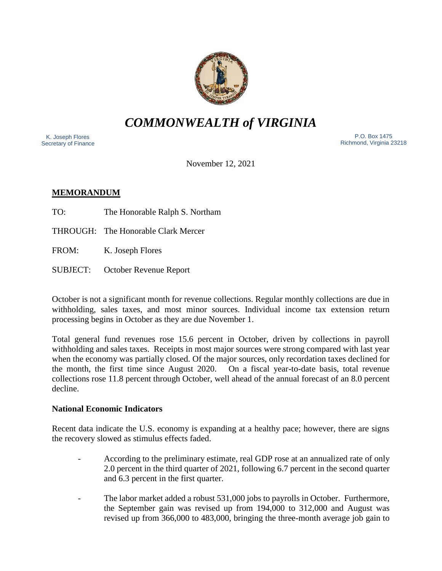

*COMMONWEALTH of VIRGINIA*

 K. Joseph Flores Secretary of Finance

 P.O. Box 1475 Richmond, Virginia 23218

November 12, 2021

# **MEMORANDUM**

TO: The Honorable Ralph S. Northam

THROUGH: The Honorable Clark Mercer

FROM: K. Joseph Flores

SUBJECT: October Revenue Report

October is not a significant month for revenue collections. Regular monthly collections are due in withholding, sales taxes, and most minor sources. Individual income tax extension return processing begins in October as they are due November 1.

Total general fund revenues rose 15.6 percent in October, driven by collections in payroll withholding and sales taxes. Receipts in most major sources were strong compared with last year when the economy was partially closed. Of the major sources, only recordation taxes declined for the month, the first time since August 2020. On a fiscal year-to-date basis, total revenue collections rose 11.8 percent through October, well ahead of the annual forecast of an 8.0 percent decline.

## **National Economic Indicators**

Recent data indicate the U.S. economy is expanding at a healthy pace; however, there are signs the recovery slowed as stimulus effects faded.

- According to the preliminary estimate, real GDP rose at an annualized rate of only 2.0 percent in the third quarter of 2021, following 6.7 percent in the second quarter and 6.3 percent in the first quarter.
- The labor market added a robust 531,000 jobs to payrolls in October. Furthermore, the September gain was revised up from 194,000 to 312,000 and August was revised up from 366,000 to 483,000, bringing the three-month average job gain to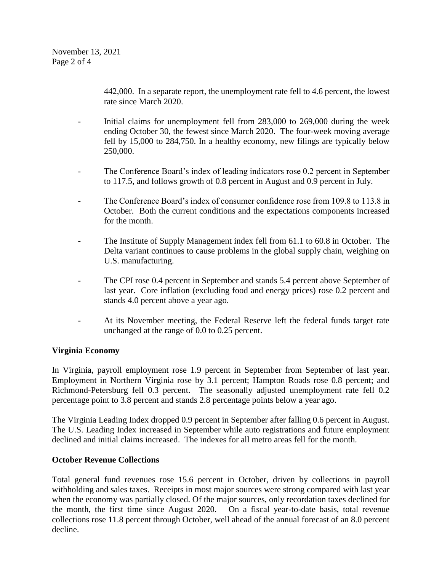442,000. In a separate report, the unemployment rate fell to 4.6 percent, the lowest rate since March 2020.

- Initial claims for unemployment fell from 283,000 to 269,000 during the week ending October 30, the fewest since March 2020. The four-week moving average fell by 15,000 to 284,750. In a healthy economy, new filings are typically below 250,000.
- The Conference Board's index of leading indicators rose 0.2 percent in September to 117.5, and follows growth of 0.8 percent in August and 0.9 percent in July.
- The Conference Board's index of consumer confidence rose from 109.8 to 113.8 in October. Both the current conditions and the expectations components increased for the month.
- The Institute of Supply Management index fell from 61.1 to 60.8 in October. The Delta variant continues to cause problems in the global supply chain, weighing on U.S. manufacturing.
- The CPI rose 0.4 percent in September and stands 5.4 percent above September of last year. Core inflation (excluding food and energy prices) rose 0.2 percent and stands 4.0 percent above a year ago.
- At its November meeting, the Federal Reserve left the federal funds target rate unchanged at the range of 0.0 to 0.25 percent.

## **Virginia Economy**

In Virginia, payroll employment rose 1.9 percent in September from September of last year. Employment in Northern Virginia rose by 3.1 percent; Hampton Roads rose 0.8 percent; and Richmond-Petersburg fell 0.3 percent. The seasonally adjusted unemployment rate fell 0.2 percentage point to 3.8 percent and stands 2.8 percentage points below a year ago.

The Virginia Leading Index dropped 0.9 percent in September after falling 0.6 percent in August. The U.S. Leading Index increased in September while auto registrations and future employment declined and initial claims increased. The indexes for all metro areas fell for the month.

## **October Revenue Collections**

Total general fund revenues rose 15.6 percent in October, driven by collections in payroll withholding and sales taxes. Receipts in most major sources were strong compared with last year when the economy was partially closed. Of the major sources, only recordation taxes declined for the month, the first time since August 2020. On a fiscal year-to-date basis, total revenue collections rose 11.8 percent through October, well ahead of the annual forecast of an 8.0 percent decline.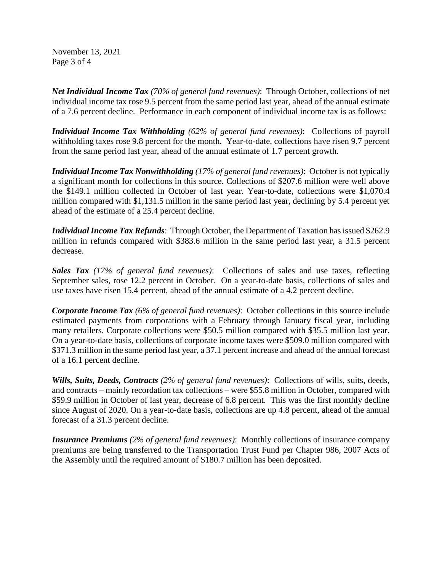November 13, 2021 Page 3 of 4

*Net Individual Income Tax (70% of general fund revenues)*: Through October, collections of net individual income tax rose 9.5 percent from the same period last year, ahead of the annual estimate of a 7.6 percent decline. Performance in each component of individual income tax is as follows:

*Individual Income Tax Withholding (62% of general fund revenues)*: Collections of payroll withholding taxes rose 9.8 percent for the month. Year-to-date, collections have risen 9.7 percent from the same period last year, ahead of the annual estimate of 1.7 percent growth.

*Individual Income Tax Nonwithholding (17% of general fund revenues)*: October is not typically a significant month for collections in this source. Collections of \$207.6 million were well above the \$149.1 million collected in October of last year. Year-to-date, collections were \$1,070.4 million compared with \$1,131.5 million in the same period last year, declining by 5.4 percent yet ahead of the estimate of a 25.4 percent decline.

*Individual Income Tax Refunds*: Through October, the Department of Taxation has issued \$262.9 million in refunds compared with \$383.6 million in the same period last year, a 31.5 percent decrease.

*Sales Tax (17% of general fund revenues)*: Collections of sales and use taxes, reflecting September sales, rose 12.2 percent in October. On a year-to-date basis, collections of sales and use taxes have risen 15.4 percent, ahead of the annual estimate of a 4.2 percent decline.

*Corporate Income Tax (6% of general fund revenues)*: October collections in this source include estimated payments from corporations with a February through January fiscal year, including many retailers. Corporate collections were \$50.5 million compared with \$35.5 million last year. On a year-to-date basis, collections of corporate income taxes were \$509.0 million compared with \$371.3 million in the same period last year, a 37.1 percent increase and ahead of the annual forecast of a 16.1 percent decline.

*Wills, Suits, Deeds, Contracts (2% of general fund revenues)*: Collections of wills, suits, deeds, and contracts – mainly recordation tax collections – were \$55.8 million in October, compared with \$59.9 million in October of last year, decrease of 6.8 percent. This was the first monthly decline since August of 2020. On a year-to-date basis, collections are up 4.8 percent, ahead of the annual forecast of a 31.3 percent decline.

*Insurance Premiums (2% of general fund revenues)*: Monthly collections of insurance company premiums are being transferred to the Transportation Trust Fund per Chapter 986, 2007 Acts of the Assembly until the required amount of \$180.7 million has been deposited.